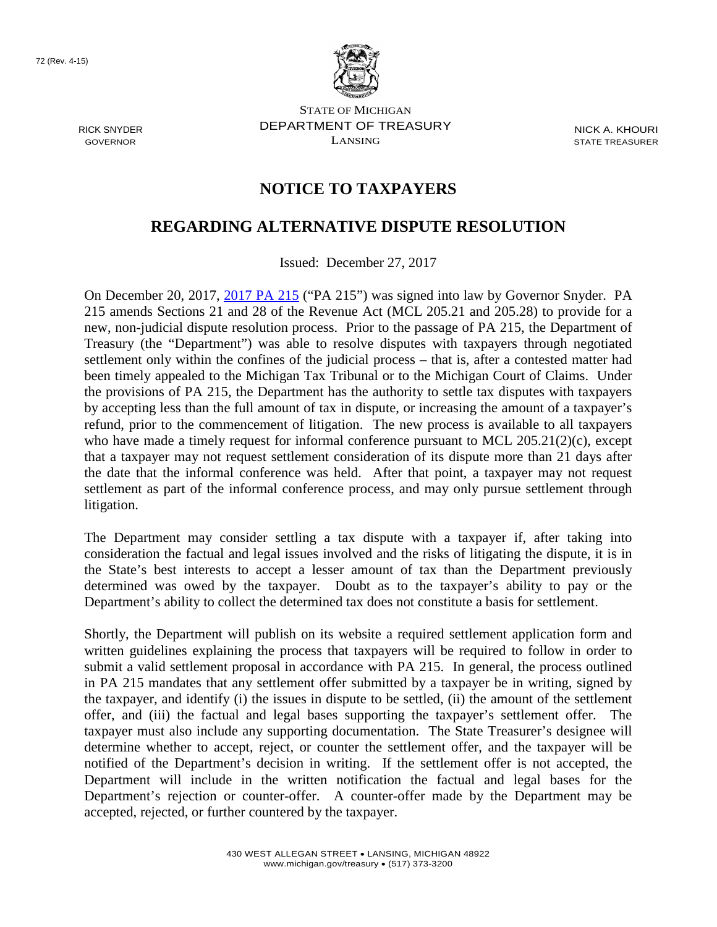

RICK SNYDER GOVERNOR

STATE OF MICHIGAN DEPARTMENT OF TREASURY LANSING

NICK A. KHOURI STATE TREASURER

## **NOTICE TO TAXPAYERS**

## **REGARDING ALTERNATIVE DISPUTE RESOLUTION**

Issued: December 27, 2017

On December 20, 2017, [2017 PA 215](http://www.legislature.mi.gov/documents/2017-2018/billenrolled/House/pdf/2017-HNB-4976.pdf) ("PA 215") was signed into law by Governor Snyder. PA 215 amends Sections 21 and 28 of the Revenue Act (MCL 205.21 and 205.28) to provide for a new, non-judicial dispute resolution process. Prior to the passage of PA 215, the Department of Treasury (the "Department") was able to resolve disputes with taxpayers through negotiated settlement only within the confines of the judicial process – that is, after a contested matter had been timely appealed to the Michigan Tax Tribunal or to the Michigan Court of Claims. Under the provisions of PA 215, the Department has the authority to settle tax disputes with taxpayers by accepting less than the full amount of tax in dispute, or increasing the amount of a taxpayer's refund, prior to the commencement of litigation. The new process is available to all taxpayers who have made a timely request for informal conference pursuant to MCL 205.21(2)(c), except that a taxpayer may not request settlement consideration of its dispute more than 21 days after the date that the informal conference was held. After that point, a taxpayer may not request settlement as part of the informal conference process, and may only pursue settlement through litigation.

The Department may consider settling a tax dispute with a taxpayer if, after taking into consideration the factual and legal issues involved and the risks of litigating the dispute, it is in the State's best interests to accept a lesser amount of tax than the Department previously determined was owed by the taxpayer. Doubt as to the taxpayer's ability to pay or the Department's ability to collect the determined tax does not constitute a basis for settlement.

Shortly, the Department will publish on its website a required settlement application form and written guidelines explaining the process that taxpayers will be required to follow in order to submit a valid settlement proposal in accordance with PA 215. In general, the process outlined in PA 215 mandates that any settlement offer submitted by a taxpayer be in writing, signed by the taxpayer, and identify (i) the issues in dispute to be settled, (ii) the amount of the settlement offer, and (iii) the factual and legal bases supporting the taxpayer's settlement offer. The taxpayer must also include any supporting documentation. The State Treasurer's designee will determine whether to accept, reject, or counter the settlement offer, and the taxpayer will be notified of the Department's decision in writing. If the settlement offer is not accepted, the Department will include in the written notification the factual and legal bases for the Department's rejection or counter-offer. A counter-offer made by the Department may be accepted, rejected, or further countered by the taxpayer.